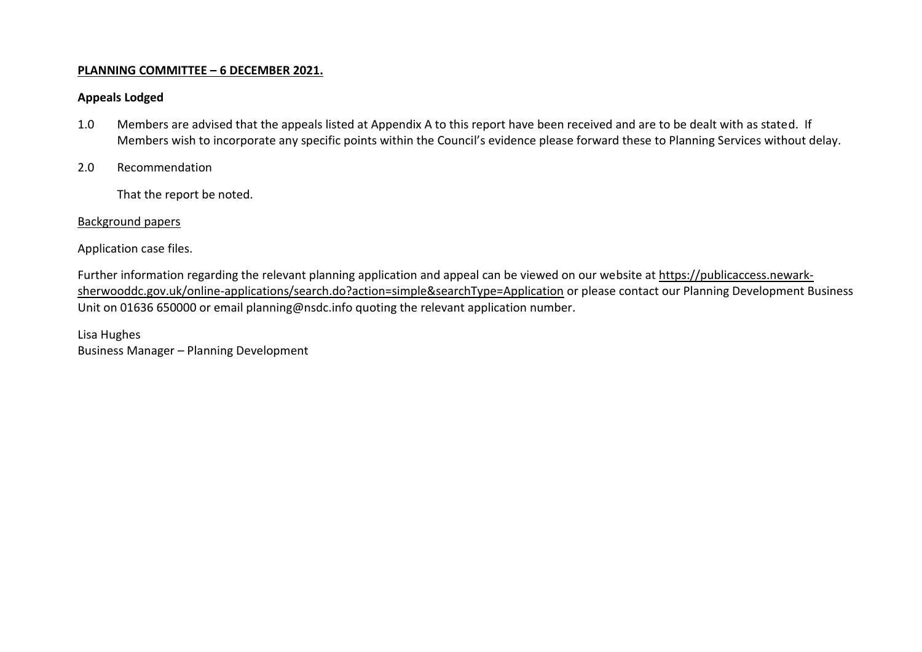## **PLANNING COMMITTEE – 6 DECEMBER 2021.**

## **Appeals Lodged**

- 1.0 Members are advised that the appeals listed at Appendix A to this report have been received and are to be dealt with as stated. If Members wish to incorporate any specific points within the Council's evidence please forward these to Planning Services without delay.
- 2.0 Recommendation

That the report be noted.

## Background papers

Application case files.

Further information regarding the relevant planning application and appeal can be viewed on our website at [https://publicaccess.newark](https://publicaccess.newark-sherwooddc.gov.uk/online-applications/search.do?action=simple&searchType=Application)[sherwooddc.gov.uk/online-applications/search.do?action=simple&searchType=Application](https://publicaccess.newark-sherwooddc.gov.uk/online-applications/search.do?action=simple&searchType=Application) or please contact our Planning Development Business Unit on 01636 650000 or email planning@nsdc.info quoting the relevant application number.

Lisa Hughes Business Manager – Planning Development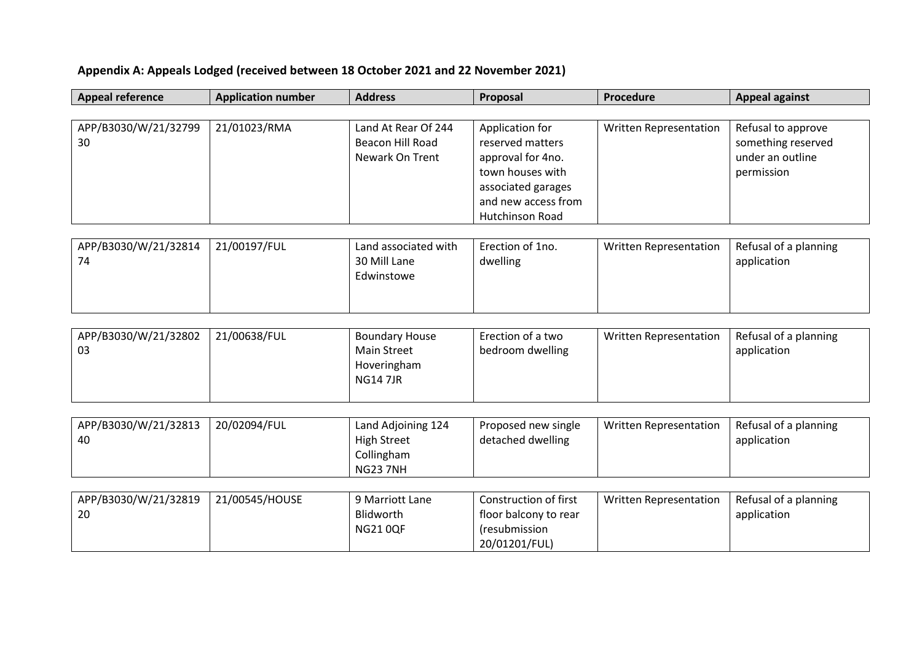## **Appendix A: Appeals Lodged (received between 18 October 2021 and 22 November 2021)**

| <b>Appeal reference</b>    | <b>Application number</b> | <b>Address</b>                                             | Proposal                                                                                                                                     | Procedure                     | <b>Appeal against</b>                                                      |
|----------------------------|---------------------------|------------------------------------------------------------|----------------------------------------------------------------------------------------------------------------------------------------------|-------------------------------|----------------------------------------------------------------------------|
|                            |                           |                                                            |                                                                                                                                              |                               |                                                                            |
| APP/B3030/W/21/32799<br>30 | 21/01023/RMA              | Land At Rear Of 244<br>Beacon Hill Road<br>Newark On Trent | Application for<br>reserved matters<br>approval for 4no.<br>town houses with<br>associated garages<br>and new access from<br>Hutchinson Road | Written Representation        | Refusal to approve<br>something reserved<br>under an outline<br>permission |
|                            |                           |                                                            |                                                                                                                                              |                               |                                                                            |
| APP/B3030/W/21/32814<br>74 | 21/00197/FUL              | Land associated with<br>30 Mill Lane<br>Edwinstowe         | Erection of 1no.<br>dwelling                                                                                                                 | <b>Written Representation</b> | Refusal of a planning<br>application                                       |

| APP/B3030/W/21/32802<br>21/00638/FUL<br>-03 | <b>Boundary House</b><br>Main Street<br>Hoveringham<br>NG14 7JR | Erection of a two<br>bedroom dwelling | Written Representation | Refusal of a planning<br>application |
|---------------------------------------------|-----------------------------------------------------------------|---------------------------------------|------------------------|--------------------------------------|
|---------------------------------------------|-----------------------------------------------------------------|---------------------------------------|------------------------|--------------------------------------|

| APP/B3030/W/21/32813 | 20/02094/FUL | Land Adjoining 124 | Proposed new single | Written Representation | Refusal of a planning |
|----------------------|--------------|--------------------|---------------------|------------------------|-----------------------|
| 40                   |              | <b>High Street</b> | detached dwelling   |                        | application           |
|                      |              | Collingham         |                     |                        |                       |
|                      |              | <b>NG237NH</b>     |                     |                        |                       |

| APP/B3030/W/21/32819 | 21/00545/HOUSE | 9 Marriott Lane | Construction of first | Written Representation | Refusal of a planning |
|----------------------|----------------|-----------------|-----------------------|------------------------|-----------------------|
| 20                   |                | Blidworth       | tloor balcony to rear |                        | application           |
|                      |                | <b>NG210QF</b>  | resubmission)         |                        |                       |
|                      |                |                 | 20/01201/FUL)         |                        |                       |